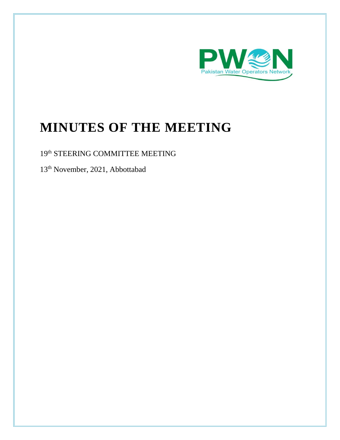

# **MINUTES OF THE MEETING**

# 19<sup>th</sup> STEERING COMMITTEE MEETING

13<sup>th</sup> November, 2021, Abbottabad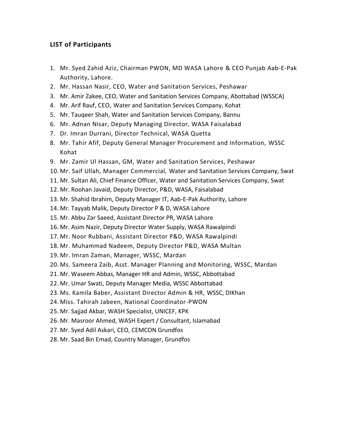### **LIST of Participants**

- 1. Mr. Syed Zahid Aziz, Chairman PWON, MD WASA Lahore & CEO Punjab Aab-E-Pak Authority, Lahore.
- 2. Mr. Hassan Nasir, CEO, Water and Sanitation Services, Peshawar
- 3. Mr. Amir Zakee, CEO, Water and Sanitation Services Company, Abottabad (WSSCA)
- 4. Mr. Arif Rauf, CEO, Water and Sanitation Services Company, Kohat
- 5. Mr. Tauqeer Shah, Water and Sanitation Services Company, Bannu
- 6. Mr. Adnan Nisar, Deputy Managing Director, WASA Faisalabad
- 7. Dr. Imran Durrani, Director Technical, WASA Quetta
- 8. Mr. Tahir Afif, Deputy General Manager Procurement and Information, WSSC Kohat
- 9. Mr. Zamir Ul Hassan, GM, Water and Sanitation Services, Peshawar
- 10. Mr. Saif Ullah, Manager Commercial, Water and Sanitation Services Company, Swat
- 11. Mr. Sultan Ali, Chief Finance Officer, Water and Sanitation Services Company, Swat
- 12. Mr. Roohan Javaid, Deputy Director, P&D, WASA, Faisalabad
- 13. Mr. Shahid Ibrahim, Deputy Manager IT, Aab-E-Pak Authority, Lahore
- 14. Mr. Tayyab Malik, Deputy Director P & D, WASA Lahore
- 15. Mr. Abbu Zar Saeed, Assistant Director PR, WASA Lahore
- 16. Mr. Asim Nazir, Deputy Director Water Supply, WASA Rawalpindi
- 17. Mr. Noor Rubbani, Assistant Director P&D, WASA Rawalpindi
- 18. Mr. Muhammad Nadeem, Deputy Director P&D, WASA Multan
- 19. Mr. Imran Zaman, Manager, WSSC, Mardan
- 20. Ms. Sameera Zaib, Asst. Manager Planning and Monitoring, WSSC, Mardan
- 21. Mr. Waseem Abbas, Manager HR and Admin, WSSC, Abbottabad
- 22. Mr. Umar Swati, Deputy Manager Media, WSSC Abbottabad
- 23. Ms. Kamila Baber, Assistant Director Admin & HR, WSSC, DIKhan
- 24. Miss. Tahirah Jabeen, National Coordinator-PWON
- 25. Mr. Sajjad Akbar, WASH Specialist, UNICEF, KPK
- 26. Mr. Masroor Ahmed, WASH Expert / Consultant, Islamabad
- 27. Mr. Syed Adil Askari, CEO, CEMCON Grundfos
- 28. Mr. Saad Bin Emad, Country Manager, Grundfos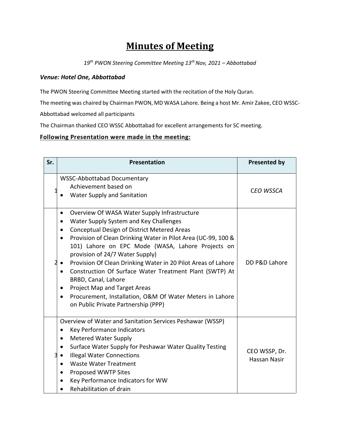# **Minutes of Meeting**

*19th PWON Steering Committee Meeting 13 th Nov, 2021 – Abbottabad*

#### *Venue: Hotel One, Abbottabad*

The PWON Steering Committee Meeting started with the recitation of the Holy Quran.

The meeting was chaired by Chairman PWON, MD WASA Lahore. Being a host Mr. Amir Zakee, CEO WSSC-

Abbottabad welcomed all participants

The Chairman thanked CEO WSSC Abbottabad for excellent arrangements for SC meeting.

## **Following Presentation were made in the meeting:**

| Sr. | <b>Presentation</b>                                                                                                                                                                                                                                                                                                                                                                                                                                                                                                                                                                                                                   | <b>Presented by</b>           |
|-----|---------------------------------------------------------------------------------------------------------------------------------------------------------------------------------------------------------------------------------------------------------------------------------------------------------------------------------------------------------------------------------------------------------------------------------------------------------------------------------------------------------------------------------------------------------------------------------------------------------------------------------------|-------------------------------|
|     | <b>WSSC-Abbottabad Documentary</b><br>Achievement based on<br>Water Supply and Sanitation                                                                                                                                                                                                                                                                                                                                                                                                                                                                                                                                             | <b>CEO WSSCA</b>              |
|     | Overview Of WASA Water Supply Infrastructure<br>$\bullet$<br>Water Supply System and Key Challenges<br>٠<br>Conceptual Design of District Metered Areas<br>٠<br>Provision of Clean Drinking Water in Pilot Area (UC-99, 100 &<br>101) Lahore on EPC Mode (WASA, Lahore Projects on<br>provision of 24/7 Water Supply)<br>Provision Of Clean Drinking Water in 20 Pilot Areas of Lahore<br>Construction Of Surface Water Treatment Plant (SWTP) At<br>$\bullet$<br>BRBD, Canal, Lahore<br>Project Map and Target Areas<br>Procurement, Installation, O&M Of Water Meters in Lahore<br>$\bullet$<br>on Public Private Partnership (PPP) | DD P&D Lahore                 |
|     | Overview of Water and Sanitation Services Peshawar (WSSP)<br>Key Performance Indicators<br>٠<br><b>Metered Water Supply</b><br>Surface Water Supply for Peshawar Water Quality Testing<br>$\bullet$<br><b>Illegal Water Connections</b><br><b>Waste Water Treatment</b><br>$\bullet$<br>Proposed WWTP Sites<br>$\bullet$<br>Key Performance Indicators for WW<br>Rehabilitation of drain                                                                                                                                                                                                                                              | CEO WSSP, Dr.<br>Hassan Nasir |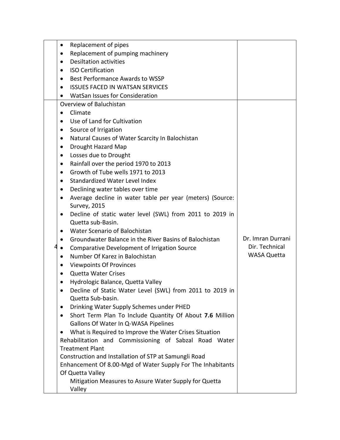| Replacement of pipes                                            |                    |
|-----------------------------------------------------------------|--------------------|
| Replacement of pumping machinery                                |                    |
| <b>Desiltation activities</b><br>$\bullet$                      |                    |
| <b>ISO Certification</b>                                        |                    |
| Best Performance Awards to WSSP<br>$\bullet$                    |                    |
| <b>ISSUES FACED IN WATSAN SERVICES</b>                          |                    |
| <b>WatSan Issues for Consideration</b>                          |                    |
| Overview of Baluchistan                                         |                    |
| Climate<br>$\bullet$                                            |                    |
| Use of Land for Cultivation                                     |                    |
| Source of Irrigation                                            |                    |
| Natural Causes of Water Scarcity In Balochistan                 |                    |
| Drought Hazard Map                                              |                    |
| Losses due to Drought<br>$\bullet$                              |                    |
| Rainfall over the period 1970 to 2013                           |                    |
| Growth of Tube wells 1971 to 2013<br>$\bullet$                  |                    |
| Standardized Water Level Index                                  |                    |
| Declining water tables over time<br>٠                           |                    |
| Average decline in water table per year (meters) (Source:       |                    |
| <b>Survey, 2015</b>                                             |                    |
| Decline of static water level (SWL) from 2011 to 2019 in        |                    |
| Quetta sub-Basin.                                               |                    |
| Water Scenario of Balochistan                                   |                    |
| Groundwater Balance in the River Basins of Balochistan<br>٠     | Dr. Imran Durrani  |
| Comparative Development of Irrigation Source<br>٠               | Dir. Technical     |
| Number Of Karez in Balochistan<br>$\bullet$                     | <b>WASA Quetta</b> |
| <b>Viewpoints Of Provinces</b><br>$\bullet$                     |                    |
| <b>Quetta Water Crises</b><br>$\bullet$                         |                    |
| Hydrologic Balance, Quetta Valley                               |                    |
| Decline of Static Water Level (SWL) from 2011 to 2019 in        |                    |
| Quetta Sub-basin.                                               |                    |
| Drinking Water Supply Schemes under PHED                        |                    |
| Short Term Plan To Include Quantity Of About 7.6 Million        |                    |
| Gallons Of Water In Q-WASA Pipelines                            |                    |
| What is Required to Improve the Water Crises Situation          |                    |
| Rehabilitation and Commissioning of Sabzal Road Water           |                    |
| <b>Treatment Plant</b>                                          |                    |
| Construction and Installation of STP at Samungli Road           |                    |
| Enhancement Of 8.00-Mgd of Water Supply For The Inhabitants     |                    |
| Of Quetta Valley                                                |                    |
| Mitigation Measures to Assure Water Supply for Quetta<br>Valley |                    |
|                                                                 |                    |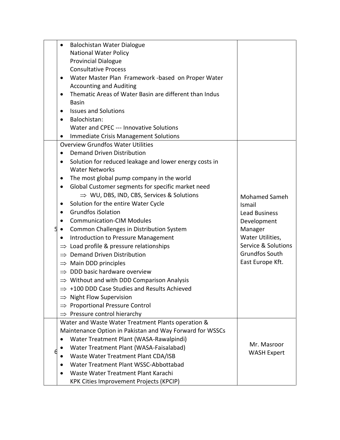|   | Balochistan Water Dialogue<br>$\bullet$                             |                      |
|---|---------------------------------------------------------------------|----------------------|
|   | <b>National Water Policy</b>                                        |                      |
|   | <b>Provincial Dialogue</b>                                          |                      |
|   | <b>Consultative Process</b>                                         |                      |
|   | Water Master Plan Framework -based on Proper Water<br>$\bullet$     |                      |
|   | <b>Accounting and Auditing</b>                                      |                      |
|   | Thematic Areas of Water Basin are different than Indus<br>$\bullet$ |                      |
|   | <b>Basin</b>                                                        |                      |
|   | <b>Issues and Solutions</b><br>$\bullet$                            |                      |
|   | Balochistan:<br>$\bullet$                                           |                      |
|   | Water and CPEC --- Innovative Solutions                             |                      |
|   | Immediate Crisis Management Solutions                               |                      |
|   | <b>Overview Grundfos Water Utilities</b>                            |                      |
|   | <b>Demand Driven Distribution</b>                                   |                      |
|   | Solution for reduced leakage and lower energy costs in<br>$\bullet$ |                      |
|   | <b>Water Networks</b>                                               |                      |
|   | The most global pump company in the world                           |                      |
|   | Global Customer segments for specific market need<br>$\bullet$      |                      |
|   | $\Rightarrow$ WU, DBS, IND, CBS, Services & Solutions               | <b>Mohamed Sameh</b> |
|   | Solution for the entire Water Cycle<br>٠                            | Ismail               |
|   | <b>Grundfos iSolation</b><br>$\bullet$                              | <b>Lead Business</b> |
|   | <b>Communication-CIM Modules</b><br>$\bullet$                       | Development          |
| 5 | Common Challenges in Distribution System<br>$\bullet$               | Manager              |
|   | Introduction to Pressure Management<br>$\bullet$                    | Water Utilities,     |
|   | $\Rightarrow$ Load profile & pressure relationships                 | Service & Solutions  |
|   | $\Rightarrow$ Demand Driven Distribution                            | Grundfos South       |
|   | $\Rightarrow$ Main DDD principles                                   | East Europe Kft.     |
|   | $\Rightarrow$ DDD basic hardware overview                           |                      |
|   | $\Rightarrow$ Without and with DDD Comparison Analysis              |                      |
|   | $\Rightarrow$ +100 DDD Case Studies and Results Achieved            |                      |
|   | $\Rightarrow$ Night Flow Supervision                                |                      |
|   | <b>Proportional Pressure Control</b>                                |                      |
|   | Pressure control hierarchy<br>$\Rightarrow$                         |                      |
|   | Water and Waste Water Treatment Plants operation &                  |                      |
|   | Maintenance Option in Pakistan and Way Forward for WSSCs            |                      |
|   | Water Treatment Plant (WASA-Rawalpindi)<br>$\bullet$                | Mr. Masroor          |
|   | Water Treatment Plant (WASA-Faisalabad)                             | <b>WASH Expert</b>   |
|   | Waste Water Treatment Plant CDA/ISB                                 |                      |
|   | Water Treatment Plant WSSC-Abbottabad                               |                      |
|   | Waste Water Treatment Plant Karachi                                 |                      |
|   | <b>KPK Cities Improvement Projects (KPCIP)</b>                      |                      |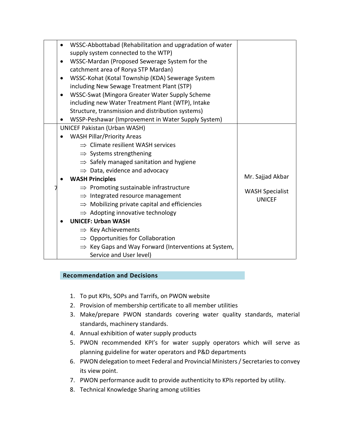| $\bullet$ | WSSC-Abbottabad (Rehabilitation and upgradation of water         |                        |
|-----------|------------------------------------------------------------------|------------------------|
|           | supply system connected to the WTP)                              |                        |
| $\bullet$ | WSSC-Mardan (Proposed Sewerage System for the                    |                        |
|           | catchment area of Rorya STP Mardan)                              |                        |
|           | WSSC-Kohat (Kotal Township (KDA) Sewerage System                 |                        |
|           | including New Sewage Treatment Plant (STP)                       |                        |
| $\bullet$ | WSSC-Swat (Mingora Greater Water Supply Scheme                   |                        |
|           | including new Water Treatment Plant (WTP), Intake                |                        |
|           | Structure, transmission and distribution systems)                |                        |
|           | WSSP-Peshawar (Improvement in Water Supply System)               |                        |
|           | <b>UNICEF Pakistan (Urban WASH)</b>                              |                        |
|           | <b>WASH Pillar/Priority Areas</b>                                |                        |
|           | $\Rightarrow$ Climate resilient WASH services                    |                        |
|           | $\Rightarrow$ Systems strengthening                              |                        |
|           | $\Rightarrow$ Safely managed sanitation and hygiene              |                        |
|           | $\Rightarrow$ Data, evidence and advocacy                        |                        |
|           | <b>WASH Principles</b>                                           | Mr. Sajjad Akbar       |
|           | $\Rightarrow$ Promoting sustainable infrastructure               | <b>WASH Specialist</b> |
|           | $\Rightarrow$ Integrated resource management                     | <b>UNICEF</b>          |
|           | $\Rightarrow$ Mobilizing private capital and efficiencies        |                        |
|           | $\Rightarrow$ Adopting innovative technology                     |                        |
|           | <b>UNICEF: Urban WASH</b>                                        |                        |
|           | $\Rightarrow$ Key Achievements                                   |                        |
|           | $\Rightarrow$ Opportunities for Collaboration                    |                        |
|           | $\Rightarrow$ Key Gaps and Way Forward (Interventions at System, |                        |
|           | Service and User level)                                          |                        |

### **Recommendation and Decisions**

- 1. To put KPIs, SOPs and Tarrifs, on PWON website
- 2. Provision of membership certificate to all member utilities
- 3. Make/prepare PWON standards covering water quality standards, material standards, machinery standards.
- 4. Annual exhibition of water supply products
- 5. PWON recommended KPI's for water supply operators which will serve as planning guideline for water operators and P&D departments
- 6. PWON delegation to meet Federal and Provincial Ministers / Secretaries to convey its view point.
- 7. PWON performance audit to provide authenticity to KPIs reported by utility.
- 8. Technical Knowledge Sharing among utilities